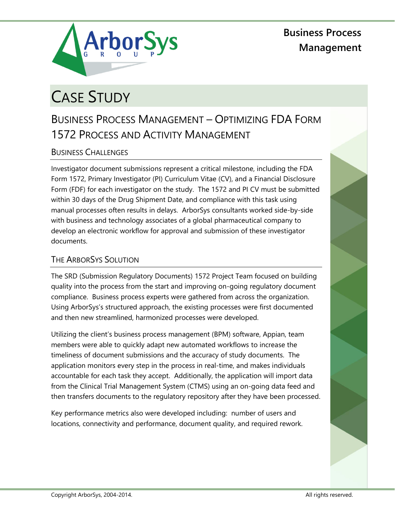

**Business Process Management**

# CASE STUDY

## BUSINESS PROCESS MANAGEMENT – OPTIMIZING FDA FORM 1572 PROCESS AND ACTIVITY MANAGEMENT

### BUSINESS CHALLENGES

Investigator document submissions represent a critical milestone, including the FDA Form 1572, Primary Investigator (PI) Curriculum Vitae (CV), and a Financial Disclosure Form (FDF) for each investigator on the study. The 1572 and PI CV must be submitted within 30 days of the Drug Shipment Date, and compliance with this task using manual processes often results in delays. ArborSys consultants worked side-by-side with business and technology associates of a global pharmaceutical company to develop an electronic workflow for approval and submission of these investigator documents.

#### THE ARBORSYS SOLUTION

The SRD (Submission Regulatory Documents) 1572 Project Team focused on building quality into the process from the start and improving on-going regulatory document compliance. Business process experts were gathered from across the organization. Using ArborSys's structured approach, the existing processes were first documented and then new streamlined, harmonized processes were developed.

Utilizing the client's business process management (BPM) software, Appian, team members were able to quickly adapt new automated workflows to increase the timeliness of document submissions and the accuracy of study documents. The application monitors every step in the process in real-time, and makes individuals accountable for each task they accept. Additionally, the application will import data from the Clinical Trial Management System (CTMS) using an on-going data feed and then transfers documents to the regulatory repository after they have been processed.

Key performance metrics also were developed including: number of users and locations, connectivity and performance, document quality, and required rework.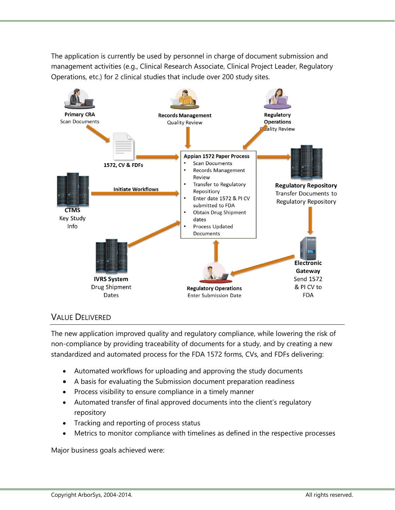The application is currently be used by personnel in charge of document submission and management activities (e.g., Clinical Research Associate, Clinical Project Leader, Regulatory Operations, etc.) for 2 clinical studies that include over 200 study sites.



#### VALUE DELIVERED

The new application improved quality and regulatory compliance, while lowering the risk of non-compliance by providing traceability of documents for a study, and by creating a new standardized and automated process for the FDA 1572 forms, CVs, and FDFs delivering:

- Automated workflows for uploading and approving the study documents
- A basis for evaluating the Submission document preparation readiness
- Process visibility to ensure compliance in a timely manner
- Automated transfer of final approved documents into the client's regulatory repository
- Tracking and reporting of process status
- Metrics to monitor compliance with timelines as defined in the respective processes

Major business goals achieved were: